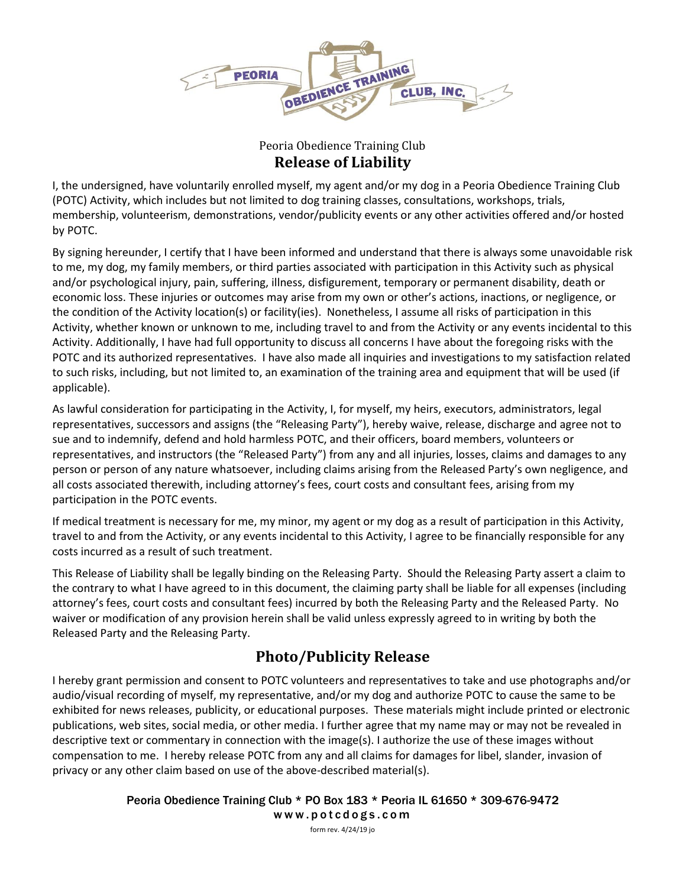

## Peoria Obedience Training Club **Release of Liability**

I, the undersigned, have voluntarily enrolled myself, my agent and/or my dog in a Peoria Obedience Training Club (POTC) Activity, which includes but not limited to dog training classes, consultations, workshops, trials, membership, volunteerism, demonstrations, vendor/publicity events or any other activities offered and/or hosted by POTC.

By signing hereunder, I certify that I have been informed and understand that there is always some unavoidable risk to me, my dog, my family members, or third parties associated with participation in this Activity such as physical and/or psychological injury, pain, suffering, illness, disfigurement, temporary or permanent disability, death or economic loss. These injuries or outcomes may arise from my own or other's actions, inactions, or negligence, or the condition of the Activity location(s) or facility(ies). Nonetheless, I assume all risks of participation in this Activity, whether known or unknown to me, including travel to and from the Activity or any events incidental to this Activity. Additionally, I have had full opportunity to discuss all concerns I have about the foregoing risks with the POTC and its authorized representatives. I have also made all inquiries and investigations to my satisfaction related to such risks, including, but not limited to, an examination of the training area and equipment that will be used (if applicable).

As lawful consideration for participating in the Activity, I, for myself, my heirs, executors, administrators, legal representatives, successors and assigns (the "Releasing Party"), hereby waive, release, discharge and agree not to sue and to indemnify, defend and hold harmless POTC, and their officers, board members, volunteers or representatives, and instructors (the "Released Party") from any and all injuries, losses, claims and damages to any person or person of any nature whatsoever, including claims arising from the Released Party's own negligence, and all costs associated therewith, including attorney's fees, court costs and consultant fees, arising from my participation in the POTC events.

If medical treatment is necessary for me, my minor, my agent or my dog as a result of participation in this Activity, travel to and from the Activity, or any events incidental to this Activity, I agree to be financially responsible for any costs incurred as a result of such treatment.

This Release of Liability shall be legally binding on the Releasing Party. Should the Releasing Party assert a claim to the contrary to what I have agreed to in this document, the claiming party shall be liable for all expenses (including attorney's fees, court costs and consultant fees) incurred by both the Releasing Party and the Released Party. No waiver or modification of any provision herein shall be valid unless expressly agreed to in writing by both the Released Party and the Releasing Party.

## **Photo/Publicity Release**

I hereby grant permission and consent to POTC volunteers and representatives to take and use photographs and/or audio/visual recording of myself, my representative, and/or my dog and authorize POTC to cause the same to be exhibited for news releases, publicity, or educational purposes. These materials might include printed or electronic publications, web sites, social media, or other media. I further agree that my name may or may not be revealed in descriptive text or commentary in connection with the image(s). I authorize the use of these images without compensation to me. I hereby release POTC from any and all claims for damages for libel, slander, invasion of privacy or any other claim based on use of the above-described material(s).

> Peoria Obedience Training Club \* PO Box 183 \* Peoria IL 61650 \* 309-676-9472 w w w . p o t c d o g s . c o m form rev. 4/24/19 jo